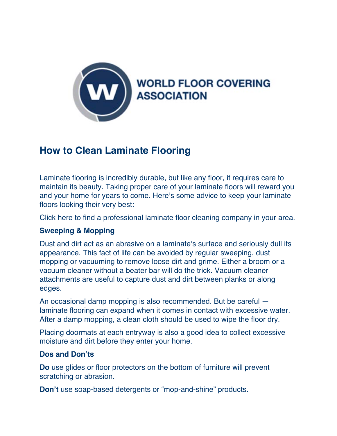

## **How to Clean Laminate Flooring**

Laminate flooring is incredibly durable, but like any floor, it requires care to maintain its beauty. Taking proper care of your laminate floors will reward you and your home for years to come. Here's some advice to keep your laminate floors looking their very best:

Click here to find a professional laminate floor cleaning company in your area.

## **Sweeping & Mopping**

Dust and dirt act as an abrasive on a laminate's surface and seriously dull its appearance. This fact of life can be avoided by regular sweeping, dust mopping or vacuuming to remove loose dirt and grime. Either a broom or a vacuum cleaner without a beater bar will do the trick. Vacuum cleaner attachments are useful to capture dust and dirt between planks or along edges.

An occasional damp mopping is also recommended. But be careful laminate flooring can expand when it comes in contact with excessive water. After a damp mopping, a clean cloth should be used to wipe the floor dry.

Placing doormats at each entryway is also a good idea to collect excessive moisture and dirt before they enter your home.

## **Dos and Don'ts**

**Do** use glides or floor protectors on the bottom of furniture will prevent scratching or abrasion.

**Don't** use soap-based detergents or "mop-and-shine" products.